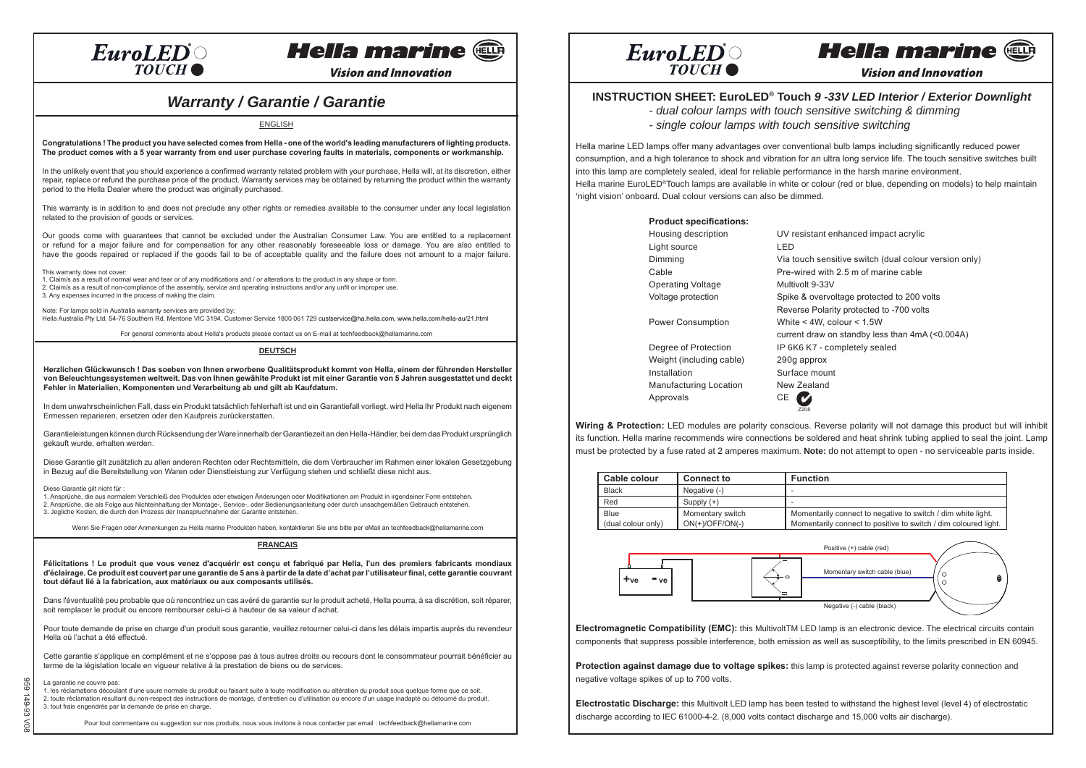### $EuroLED^{\circ}$ **TOUCH**

# **Hella marine Cun**

**Vision and Innovation** 

## *Warranty / Garantie / Garantie*

ENGLISH

Congratulations! The product you have selected comes from Hella - one of the world's leading manufacturers of lighting products. The product comes with a 5 year warranty from end user purchase covering faults in materials, components or workmanship.

In the unlikely event that you should experience a confirmed warranty related problem with your purchase, Hella will, at its discretion, either repair, replace or refund the purchase price of the product. Warranty services may be obtained by returning the product within the warranty period to the Hella Dealer where the product was originally purchased.

This warranty is in addition to and does not preclude any other rights or remedies available to the consumer under any local legislation related to the provision of goods or services.

Our goods come with guarantees that cannot be excluded under the Australian Consumer Law. You are entitled to a replacement or refund for a major failure and for compensation for any other reasonably foreseeable loss or damage. You are also entitled to have the goods repaired or replaced if the goods fail to be of acceptable quality and the failure does not amount to a major failure.

This warranty does not cover:

1. Claim/s as a result of normal wear and tear or of any modifications and / or alterations to the product in any shape or form. 2. Claim/s as a result of non-compliance of the assembly, service and operating instructions and/or any unfit or improper use. 3. Any expenses incurred in the process of making the claim.

Note: For lamps sold in Australia warranty services are provided by; Hella Australia Pty Ltd, 54-76 Southern Rd, Mentone VIC 3194. Customer Service 1800 061 729 custservice@ha.hella.com, www.hella.com/hella-au/21.html

For general comments about Hella's products please contact us on E-mail at techfeedback@hellamarine.com

**DEUTSCH**

Herzlichen Glückwunsch! Das soeben von Ihnen erworbene Qualitätsprodukt kommt von Hella, einem der führenden Hersteller von Beleuchtungssystemen weltweit. Das von Ihnen gewählte Produkt ist mit einer Garantie von 5 Jahren ausgestattet und deckt **Fehler in Materialien, Komponenten und Verarbeitung ab und gilt ab Kaufdatum.**

In dem unwahrscheinlichen Fall, dass ein Produkt tatsächlich fehlerhaft ist und ein Garantiefall vorliegt, wird Hella Ihr Produkt nach eigenem Ermessen reparieren, ersetzen oder den Kaufpreis zurückerstatten.

Garantieleistungen können durch Rücksendung der Ware innerhalb der Garantiezeit an den Hella-Händler, bei dem das Produkt ursprünglich gekauft wurde, erhalten werden.

Diese Garantie gilt zusätzlich zu allen anderen Rechten oder Rechtsmitteln, die dem Verbraucher im Rahmen einer lokalen Gesetzgebung in Bezug auf die Bereitstellung von Waren oder Dienstleistung zur Verfügung stehen und schließt diese nicht aus.

Diese Garantie gilt nicht für :

1. Ansprüche, die aus normalem Verschleiß des Produktes oder etwaigen Änderungen oder Modifikationen am Produkt in irgendeiner Form entstehen. 2. Ansprüche, die als Folge aus Nichteinhaltung der Montage-, Service-, oder Bedienungsanleitung oder durch unsachgemäßen Gebrauch entstehen. 3. Jegliche Kosten, die durch den Prozess der Inanspruchnahme der Garantie entstehen.

Wenn Sie Fragen oder Anmerkungen zu Hella marine Produkten haben, kontaktieren Sie uns bitte per eMail an techfeedback@hellamarine.com

**FRANCAIS**

Félicitations ! Le produit que vous venez d'acquérir est conçu et fabriqué par Hella, l'un des premiers fabricants mondiaux d'éclairage. Ce produit est couvert par une garantie de 5 ans à partir de la date d'achat par l'utilisateur final, cette garantie couvrant **tout défaut lié à la fabrication, aux matériaux ou aux composants utilisés.**

Dans l'éventualité peu probable que où rencontriez un cas avéré de garantie sur le produit acheté, Hella pourra, à sa discrétion, soit réparer, soit remplacer le produit ou encore rembourser celui-ci à hauteur de sa valeur d'achat.

Pour toute demande de prise en charge d'un produit sous garantie, veuillez retourner celui-ci dans les délais impartis auprès du revendeur Hella où l'achat a été effectué.

Cette garantie s'applique en complément et ne s'oppose pas à tous autres droits ou recours dont le consommateur pourrait bénéficier au terme de la législation locale en vigueur relative à la prestation de biens ou de services.

#### La garantie ne couvre pas:

959 149-93 V08

ନ୍ଦନ  $\frac{1}{2}$ م−s<br>€  $\leq$ 

1. les réclamations découlant d'une usure normale du produit ou faisant suite à toute modification ou altération du produit sous quelque forme que ce soit. 2. toute réclamation résultant du non-respect des instructions de montage, d'entretien ou d'utilisation ou encore d'un usage inadapté ou détourné du produit. 3. tout frais engendrés par la demande de prise en charge.

Pour tout commentaire ou suggestion sur nos produits, nous vous invitons à nous contacter par email : techfeedback@hellamarine.com



#### **Hella marine** (HELLA

**Vision and Innovation** 

### **INSTRUCTION SHEET: EuroLED® Touch** *9 -33V LED Interior / Exterior Downlight*

*- dual colour lamps with touch sensitive switching & dimming*

*- single colour lamps with touch sensitive switching*

Hella marine LED lamps offer many advantages over conventional bulb lamps including significantly reduced power consumption, and a high tolerance to shock and vibration for an ultra long service life. The touch sensitive switches built into this lamp are completely sealed, ideal for reliable performance in the harsh marine environment. Hella marine EuroLED®Touch lamps are available in white or colour (red or blue, depending on models) to help maintain 'night vision' onboard. Dual colour versions can also be dimmed.

| <b>Product specifications:</b> |                                                       |
|--------------------------------|-------------------------------------------------------|
| Housing description            | UV resistant enhanced impact acrylic                  |
| Light source                   | LED                                                   |
| Dimming                        | Via touch sensitive switch (dual colour version only) |
| Cable                          | Pre-wired with 2.5 m of marine cable                  |
| <b>Operating Voltage</b>       | Multivolt 9-33V                                       |
| Voltage protection             | Spike & overvoltage protected to 200 volts            |
|                                | Reverse Polarity protected to -700 volts              |
| Power Consumption              | White $<$ 4W, colour $<$ 1.5W                         |
|                                | current draw on standby less than 4mA (<0.004A)       |
| Degree of Protection           | IP 6K6 K7 - completely sealed                         |
| Weight (including cable)       | 290g approx                                           |
| Installation                   | Surface mount                                         |
| <b>Manufacturing Location</b>  | New Zealand                                           |
| Approvals                      | CE                                                    |
|                                | 7208                                                  |

**Wiring & Protection:** LED modules are polarity conscious. Reverse polarity will not damage this product but will inhibit its function. Hella marine recommends wire connections be soldered and heat shrink tubing applied to seal the joint. Lamp must be protected by a fuse rated at 2 amperes maximum. **Note:** do not attempt to open - no serviceable parts inside.

| Cable colour       | <b>Connect to</b> | <b>Function</b>                                                 |  |  |
|--------------------|-------------------|-----------------------------------------------------------------|--|--|
| <b>Black</b>       | Negative (-)      |                                                                 |  |  |
| Red                | Supply $(+)$      |                                                                 |  |  |
| Blue               | Momentary switch  | Momentarily connect to negative to switch / dim white light.    |  |  |
| (dual colour only) | $ON(+)/OFF/ON(-)$ | Momentarily connect to positive to switch / dim coloured light. |  |  |
|                    |                   |                                                                 |  |  |



**Electromagnetic Compatibility (EMC):** this MultivoltTM LED lamp is an electronic device. The electrical circuits contain components that suppress possible interference, both emission as well as susceptibility, to the limits prescribed in EN 60945.

**Protection against damage due to voltage spikes:** this lamp is protected against reverse polarity connection and negative voltage spikes of up to 700 volts.

**Electrostatic Discharge:** this Multivolt LED lamp has been tested to withstand the highest level (level 4) of electrostatic discharge according to IEC 61000-4-2. (8,000 volts contact discharge and 15,000 volts air discharge).